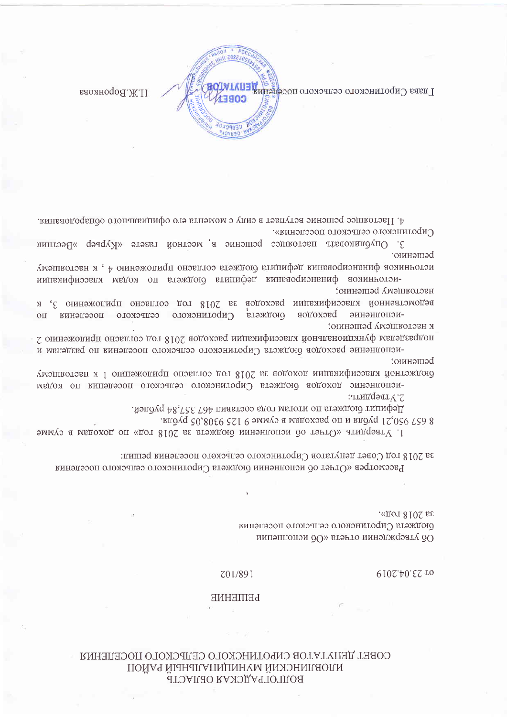## СОВЕТ ДЕПУТАТОВ СИРОТИНСКОГО СЕЛЬСКОГО ПОСЕЛЕНИЯ НОЙАЯ ЙІАНИІЛАПАЛЬНЫЙ РАЙОН **BOJILOL AMCKAS OBJIACTB**

## Z01/891

**PEILIEHNE** 

00 утверждении огчета «Об исполнении

6102.40.52 TO

, «дот 8102 ве бюджета Сиротинского сельского поселения

Рассмотрев «Отчет об исполнении бюджета Сиротинского сельского поселения

за 2018 год Совет депутатов Сиротинского сельского поселения решил:

1. Утвердить «Отчет об исполнении бюджета за 2018 год» по доходам в сумме

.йэлдү фяджета по итогам года составил 467 357,84 рублей. лиду 950,21 рубля и по расходам в сумме 9 125 9308,05 рубля.

-исполнение походов бюджета Сиротинского сельского поселения по кодам 2. Утвердить:

решению: бюджетной классификации доходов за 2018 год согласно приложению 1 к настоящему

Сиротинского сельского поселения по втэждою -исполнение bacxonoв к нястоящему решению; подразделам функциональной классификации расходов 2018 год согласно приложению 2 -исполнение расходов ободжета Сиротинского сельского поселения по разделям и

мелоаников финансирования дефициля бюджела согласно приложению 4, к настоящему -источников финансирования дефицита бюджета по кодам классификации нястоящему решению; ведомственной классификации расходов за 2018 год согласно приложению 3, к

3. Опубликовать настоящее решение в местной газете «Курьер »Вестник решению.

Сиротинского сельского поселения».

4. Настоящее решение вступает в силу с момента его официального обнародования.

391132

каомнодо Н.Ж.Н

Плава Сиротинского сельского поселени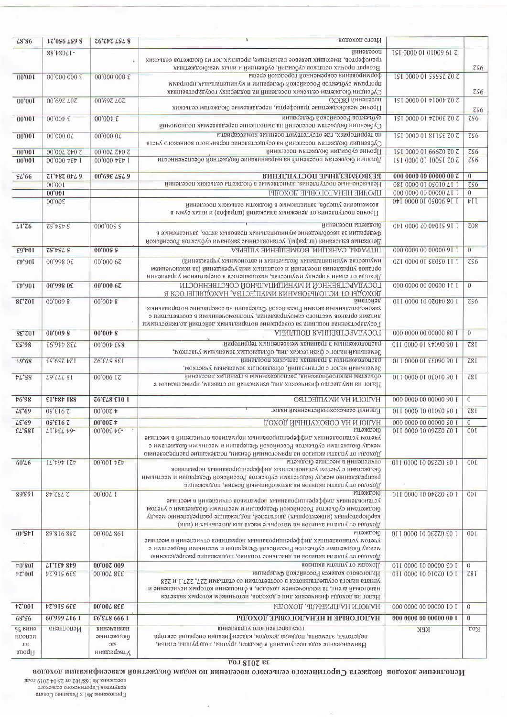| L8'86                                              | IZ'0S6 LS9 8                     | <b>ZG'ZDZ LSL 8</b>                                   | Итого доходов                                                                                                                                                                                                                                                                                                  |                               |                   |
|----------------------------------------------------|----------------------------------|-------------------------------------------------------|----------------------------------------------------------------------------------------------------------------------------------------------------------------------------------------------------------------------------------------------------------------------------------------------------------------|-------------------------------|-------------------|
|                                                    | 88't80LI-                        |                                                       | поселении                                                                                                                                                                                                                                                                                                      | ISI 0000 01 01009 61 Z        |                   |
|                                                    |                                  |                                                       | дрансфертов, имеющих целевое назначение, прошлых лет из бюджетов сельских                                                                                                                                                                                                                                      |                               |                   |
| 00'001                                             | 00'000 000 £                     | 00'000 000 £                                          | Возврат прочих остатков субсидий, субвенций и иных межбиржетных<br>формирования современной городской среды                                                                                                                                                                                                    | ISI 0000 01 SSSSZ ZO Z        | ZS6               |
|                                                    |                                  |                                                       | программ субъектов Российской Федерации и муниципальных программ<br>Субсидии бюджетам сельских поселений на поддержку государственных                                                                                                                                                                          |                               | ZS6               |
| 00,001                                             | 00'697 L07                       | 00'697 L07                                            | (ХЖЖ) йинэпээоп<br>Прочие межбюджетные трансферты, передаваемые бюджетам сельских                                                                                                                                                                                                                              | <b>ΙΕΙ 0000 0Ι ΦΙΟΟΦ ΖΟ Ζ</b> | ZS6               |
| 00'001                                             | $00,000~\epsilon$                | $00'00 \nu \ \varepsilon$                             | субъектов Российской Федерации<br>Субеснции бюджетам поселений на выполнение передаваемых полномочий                                                                                                                                                                                                           | 121 0000 01 ΦΖ00Ε ΖΟ Ζ        | $\overline{CS6}$  |
| 00'001                                             | 00'000 04                        | 00'0000L                                              | на территориях, где отсутствуют военные комиссариаты<br>Субвенции бюджетам поселений на осуществление первичного воинского учета                                                                                                                                                                               | ISI 0000 01 811SE ZO Z        | 756               |
| 00'001                                             | 200,007 700,00                   | 00'00L 7b0 7                                          | Прочие субсидии бюджетам поселений                                                                                                                                                                                                                                                                             | ISI 0000 01 66670 70 7        | $\zeta$           |
| 00'001                                             | 00'000 bEp I                     | 00'000 b£p I                                          | Дотации бюджетам поселений на выравнивание бюджетной обеспеченности                                                                                                                                                                                                                                            | ISI 0000 0I I00SI 70 7        | $\overline{c}$ s6 |
| SL'66                                              | ET'+87 0+29                      | 00'69£ LSL 9                                          | БЕЗВОЗМЕЗДНРІЕ ПОСТУПЛЕНИЯ                                                                                                                                                                                                                                                                                     | 000 0000 00 00000 00 $z$      | $\bf{0}$          |
|                                                    | 00'001                           |                                                       | Невыясненные поступления, зачисляемые в бюджеты сельских поселений                                                                                                                                                                                                                                             | 081 0000 01 05010 ZTT         | $\overline{c56}$  |
|                                                    | 00'001                           |                                                       | ПРОЧИЕ НЕНУЛОГОВЫЕ ДОХОДЫ                                                                                                                                                                                                                                                                                      | 000 0000 00 00000 LT T        | $\overline{0}$    |
|                                                    | 00,005                           |                                                       | возмешение лшеров, зачисляемые в бюджеты сельских поселений<br>Прочие поступления от денежных взысканий (штрафов) и иных сумм в                                                                                                                                                                                | 041 0000 01 05006 91 1        | VII               |
| LI <sup>'</sup> Z6                                 | $ZS^{\prime}bSbS$                | 000'005 \$                                            | оюджеты поселений<br>Федерации за несоблюдение муниципальных правовых актов, зачисляемые в<br>Денежние взискании (штрафи), установленные законами субъектов Российской                                                                                                                                         | 041 0000 20 04015 91 1        | 708               |
| £9't01                                             | $ZS^*$ rs $L S$                  | 00'005S                                               | ШТРАФЫ, САНКЦИИ, ВОЗМЕЩЕНИЕ УЩЕРБА                                                                                                                                                                                                                                                                             | 000 0000 00 00000 9T T        | $\overline{0}$    |
| 106,43                                             | 00°998 0£                        | 00'000 67                                             | имущества мунициплатный бюджетных и автономных учреждений)<br>органов управления поселения и созданных ими учреждений (за исключением<br>Доходы от сдачи в аренду имущества, находящегося в оперативном управлении                                                                                             | 071 0000 01 \$£0\$0 11 1      | 756               |
| £4,601                                             | 00'998 0£                        | 00'0006                                               | ГОСУДАРСТВЕННОЙ И МУНИЦИПАЛЬНОЙ СОБСТВЕННОСТИ<br>ДОХОДЫ ОТ ИСПОЛЬЗОВАНИЯ ИМУЩЕСТВА, НАХОДЯЩЕГОСЯ В                                                                                                                                                                                                             | 000 0000 00 00000 II I        | $\overline{0}$    |
| 8£'701                                             | 00'0098                          | 00,00008                                              | йматойэд<br>законодательными актами Российской Федерации на совершение нотариальных<br>лицами органов местного самоуправления, уполномоченными в соответствии с<br>Государственная пошлина за совершение нотариальных действий должностными                                                                    | 011 0000 10 070 $b$ 0 80 1    | 7S6               |
| 102.38                                             | 00'0098                          | $00'00 \nmid 8$                                       | АНИПШОП RAHHЗЯТЭЧАД VOOT                                                                                                                                                                                                                                                                                       | 000 0000 00 00000 80 1        | $\overline{0}$    |
| $E^{\prime}98$                                     | 738 446,93                       | 00'00 0 558                                           | расположенным в границах межселенных территороми                                                                                                                                                                                                                                                               | 011 0000 01 £0090 90 1        | 78I               |
| L9.68                                              | 124 259,53                       | <b>Z6'ELS 8ET</b>                                     | Земельный налог с физических лип, обладающих земельным участком,<br>расположенным в границах сельских поселений<br>Земельный налог с организаций, обладающих земельным участком,                                                                                                                               | 011 0000 01 £ £090 90 1       | 78I               |
| $bL$ 'S8                                           | <b>L9'LLL 81</b>                 | 00'006 IZ                                             | объектам налогообложения, расположенным в границах поселений<br>Налог на имущество физических лип, взимаемый по ставкам, применяемым к                                                                                                                                                                         | 011 0000 01 06010 90 1        | 78I               |
| <b>t6'98</b>                                       | <b>EL, 484, 188</b>              | <b>Z6'EL8 E10 1</b>                                   | НУПОГИ НА ИМУЩЕСТВО                                                                                                                                                                                                                                                                                            | 000 0000 00 00000 90 1        | $\overline{0}$    |
| $\textcolor{blue}{\mathcal{L}\mathfrak{E}}$ 69     | <b>OS'EI6Z</b>                   | $00,0005$ $\bar{v}$                                   | Единый сельскохозяйственный налог                                                                                                                                                                                                                                                                              | <b>011 0000 10 010E0 SO 1</b> | 781               |
| $LE$ 69                                            | <b>OS'EL6 Z</b>                  | 00'007 t                                              | ДОХОД ЙІАНПУУОВОСУ АН ИЛОПАН                                                                                                                                                                                                                                                                                   | 000 0000 00 00000 \$0 1       | $\theta$          |
| £2'881                                             | <b>LI'DEL D9-</b>                | -34 300,00                                            | <b>OROTMGLEI</b><br>учетом установленных дифференцированных нормативов отчислений в местные<br>между бюджетами субъектов Российской Федерации и местными бюджетами с<br>Доходы от уплаты акцизов на прямогонный бензин, подлежащие распределению                                                               | 011 0000 10 09770 £0 1        | 001               |
| 60'26                                              | $L^{\ast}$ $D^{\ast}$ $L^{\ast}$ | 434 100,00                                            | отчислении в местные бюджеты<br>бюджетами с учетом установленных дифференцированных нормативов<br>распределению между бюджетами субъектов Российской Федерации и местными<br>Доходы от уплаты акцизов на автомобильный бензин, подлежащие                                                                      | 011 0000 10 0SZZ0 £0 1        | 00I               |
| 89'991                                             | $82$ z $8L$ z                    | 00'00 / 1                                             | <b>OROTMGLPI</b><br>установленных дифференцированных нормативов отчислений в местные<br>оноджетами субъектов Российской Федерации и местными биоджетами с учетом<br>карбюраторных (инжекторных) двигателей, подлежащие распределению между<br>Доходы от уплаты акцизов на моторные масла для дизельных и (или) | 011 0000 10 0ν ΣΖΟ ΕΟ Ι       | 00I               |
| 04,2,40                                            | 89'816 887                       | 00'00L 86T                                            | <b>OROTMGLPI</b><br>учетом установленных дифференцированных нормативов отчислений в местные<br>между бюджетами субъектов Российской Федерации и местными бюджетами с<br>Доходы от уплаты акцизов на дизельное топливо, подлежащие распределению                                                                | 011 0000 10 0 ετο ε0 1        | 001               |
| <b>10,801</b>                                      | <b>LT'IEF 879</b>                | 00'007 009                                            | Доходы от уплаты акцизов                                                                                                                                                                                                                                                                                       | 011 0000 10 00000 £0 I        | $\theta$          |
| E001                                               | 339 516,24                       | 338 700,00                                            | Налогового кодекса Российской Федерации<br>уплата налога осуществляются в соответствии со статьями 227, 227.1 и 228<br>налоговый агент, за исключением доходов, в отношении которых исчисление и<br>Налог на доходы физических лиц с доходов, источником которых является                                      | 011 0000 10 01070 10 1        | 781               |
| $\frac{1}{2}$                                      | <b>\$2915 655</b>                | 00'00L 8EE                                            | НАЛОГИ НА ПРИБЫЛЬ, ДОХОДЫ                                                                                                                                                                                                                                                                                      | 000 0000 00 00000 10 I        | $\overline{0}$    |
| 68'S6                                              | 60'999 LI6 I                     | <b>E6'EL8 666 L</b>                                   | НАЛОГОВЫЕ И НЕНАЛОГОВЫЕ ДОХОДЫ                                                                                                                                                                                                                                                                                 | 000 0000 00 00000 00 I        | $\bf{0}$          |
| $\%$ винэ<br>нгопои<br>$\,$ LH<br>100 <sub>u</sub> | онэнгопод                        | <b>КИНЭРБНЕБН</b><br>этянгэждого<br>PIG<br>инэдждэатү | государственного управления<br>подстатьи, элемента, подвида доходов, классификации операций сектора<br>Наименование кода поступлений в бюджет, группы, подгруппы, статьи,                                                                                                                                      | <b>KPK</b>                    | тоу               |

дот 8102 ве

Исполнение доходов бюджета Сиротинского сельского поселения по кодам бюджетной классификации доходов

посе<br/>пения № 168/102 от 23.04.2019 года выгутатов Сирогинского сельского при<br/>овата Приложение №1 к Решению Совета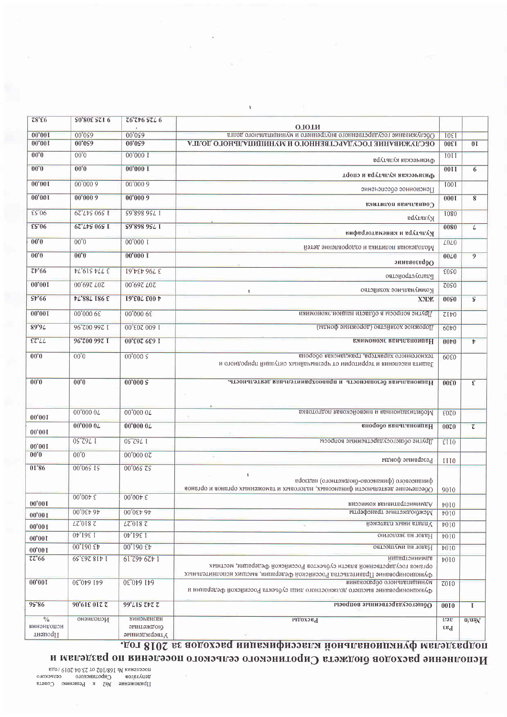| 78.56                                 | <b>S0,80E SS1 0</b>     | <b>Z6'Z+6 SZL6</b>                             |                                                                                                                                                      |                  |                    |
|---------------------------------------|-------------------------|------------------------------------------------|------------------------------------------------------------------------------------------------------------------------------------------------------|------------------|--------------------|
|                                       |                         |                                                | <b>OTOTN</b>                                                                                                                                         | 1061             |                    |
| 00,001                                | 00'099                  | 00'099                                         | Обслуживание государственного внутреннего и муниципального долга                                                                                     |                  |                    |
| 00'001                                | 00'099                  | 00'059                                         | ОРСТАЖИВУНИЕ LOCATVLGUREHHOLO И ИАНИПИПУПРИОГО ТОПLУ<br>1300                                                                                         |                  | 0 <sub>I</sub>     |
| $00^{\circ}0$                         | $00^{\circ}$            | 00'000 I                                       | 1011<br>Физинсская культура                                                                                                                          |                  |                    |
| 00,0                                  | 00'0                    | $00'000$ I                                     | Физическая культура и спорт                                                                                                                          |                  | 6                  |
| 00,001                                | 00'0009                 | 00'0009                                        | Пенсионное одеспенение                                                                                                                               | 100I             |                    |
| 00'001                                | 00'0009                 | 00'0009                                        | Социальная политика                                                                                                                                  | 0001             | 8                  |
| $E$ s'06                              | 62°L+S 06S 1            | S9'898 9SL 1                                   | Kyntrypa                                                                                                                                             | <b>I080</b>      |                    |
| $E$ s'06                              | 67'L+9 069 I            | S9'898 9SL I                                   | Культура и кинематография                                                                                                                            | 0080             | L                  |
| $00^6$                                | $00^{\circ}0$           | 00'0001                                        | Молодежная политика и оздоровление детей                                                                                                             | <b>LOLO</b>      |                    |
| 00,0                                  | $00^{\circ}0$           | $00'000$ I                                     | Образование                                                                                                                                          | $00\angle 0$     | 9                  |
| 7t'66                                 | $tL$ 615 $tLLE$         | <b>19'bEb 96L E</b>                            | ризиодиство                                                                                                                                          | <b>EOSO</b>      |                    |
| 00'001                                | 00'697 L07              | 00'697 L07                                     | Коммунальное хозяйство                                                                                                                               | 70 <sub>50</sub> |                    |
| \$F66                                 | <b>PL'88L I86 £</b>     | <b>I9'E04 E00 P</b>                            | <b>XXX</b>                                                                                                                                           | 0090             | $\mathsf S$        |
| 00'001                                | 00'000 6E               | 00'000 68                                      | Другие вопросы в области национельномики                                                                                                             | 7Ib0             |                    |
| 89'9L                                 | 96°700 997 I            | 00'00 703'00                                   | Порожное хозяиство (дорожные фонды)                                                                                                                  | 60t0             |                    |
| $\epsilon$ z' $\angle$                | 96'700 997 I            | 00'εοτ 6ε9 Ι                                   | <b>ЕМИМОНОМЕ ВЕНЧИВНОИПЕН</b><br>00 <sub>0</sub>                                                                                                     |                  | $\mathbf{r}$       |
| 00,0                                  | $00^{\prime}$           | 00'000S                                        | техногенного характера, гражданская оборона<br>Защита населения и территории от чрезвычайных ситуаций природного и                                   | 6080             |                    |
|                                       |                         |                                                |                                                                                                                                                      |                  |                    |
| 00'0                                  | $00^{\circ}0$           | 00'000S                                        | Национальная безопасность и правоохранительная деятельность.                                                                                         | 00ε0             | £                  |
| 00'001                                | 00'000 0L               | 00'000 0L                                      | Мобилизационная и венеройсковая подготовка                                                                                                           |                  |                    |
| 00'001                                | 00'0000L                | 00'0000L                                       | внододо ввнаганомивН                                                                                                                                 |                  | $\overline{\zeta}$ |
| 00'001                                | 1 762,50                | 0S'Z9L I                                       | Другие общегосударственные вопросы                                                                                                                   | EIO              |                    |
| 00,0                                  | $00^{\circ}0$           | 00'000 07                                      | $\mathcal{L}_1$<br>Резервные фонды                                                                                                                   | <b>III0</b>      |                    |
| 01'86                                 | 00'065 15               | 00°06S ZS                                      |                                                                                                                                                      |                  |                    |
|                                       |                         |                                                | <sup>1</sup><br>финансового (финансово-оюджетного) надзора<br>Офеспечение деятельности финансовых, налоговых и таможенных органов и органов          | 9010             |                    |
| 00'00I                                | $00'00 \nu \; \epsilon$ | $00'00 \nvdash \varepsilon$                    | Административная комиссия                                                                                                                            |                  |                    |
| 00'001                                | 00005095                | 00'0£b 9b                                      | Межбюджетные трансферты                                                                                                                              | b0I0<br>b010     |                    |
| 00'001                                | 7810.77                 | LZ'018 Z                                       | Чплата иных платежей                                                                                                                                 | b010             |                    |
| 00'001                                | <b>OP</b> 1981          | 1 361,40                                       | онтопоже вн топаН                                                                                                                                    | b010             |                    |
| 00'001                                | 00°190 £ $t$            | 00°190 £b                                      | Налог на имущество                                                                                                                                   | t010             |                    |
| 72'66                                 | 1418 263,59             | 1 429 462, 19                                  | иипеdiоинимте                                                                                                                                        | b010             |                    |
|                                       |                         |                                                | органов государственной власти субъектов Российской Федерации, местных<br>Функционирование Правительства Российской Федерации, высших исполнительных |                  |                    |
| 00,001                                | 641 640,30              | 64165.0530                                     | муниципального образования<br><b>7010</b><br>Функционирование высшего должностного лица субъекта Российской Федерации и                              |                  |                    |
| 95'86                                 | 90'61ε οι τ τ           | 99'LIS ZVZ Z                                   | Общегосударственные вопросы                                                                                                                          | 0010             | $\mathbf I$        |
| $\sqrt[0]{0}$<br>кинэнцопои<br>тнэцоц | меполнено               | <b>КИНЭРБНЕЕН</b><br>онужетные<br>Утвержденные | <b>Расходы</b>                                                                                                                                       | nen<br>Fa        | $U/U\bar{0}N$      |

подразделам функциональной классификации расходов за 2018 год.

## Меполнение расходов бюджета Сиротинского сельского поселения по разделам и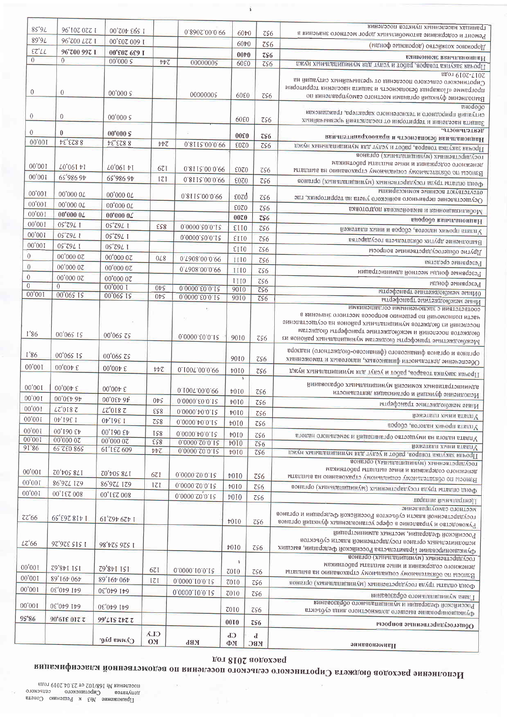|                                  |                                   |                                    |                            |                                  |                             |                           | границах населенных пунктов поселения                                                                                                                                                                                                                                                      |
|----------------------------------|-----------------------------------|------------------------------------|----------------------------|----------------------------------|-----------------------------|---------------------------|--------------------------------------------------------------------------------------------------------------------------------------------------------------------------------------------------------------------------------------------------------------------------------------------|
| $85^{\circ}9L$                   | 1 220 201'06                      | 1 593 402,00                       |                            | 0.8902.00.0.09                   | 60 $\natural$ 0             | 756                       | Ремонт и содержание автомобильных дорог местного значения в                                                                                                                                                                                                                                |
| 89'94                            | 96'700 LTZ I                      | 00' ε 0 τ 009 τ                    |                            |                                  | 60+0                        | ZS6                       | Дорожное хозяйство (дорожные фонды)                                                                                                                                                                                                                                                        |
| $ET^{\prime}LL$                  | 96'700 997 I                      | 00'007 609 I                       |                            |                                  | 00 <sub>0</sub>             | $\zeta\zeta$              | вяниономе ввичтвноипвН                                                                                                                                                                                                                                                                     |
| $\overline{0}$                   | $\theta$                          | 00'000S                            | $b\overline{b}$            | 00000005                         | <b>60E0</b>                 | $\overline{c56}$          | Прочая закупка товаров, работ и услуг для муниципальных нужд                                                                                                                                                                                                                               |
| $\theta$                         | $\overline{0}$                    | 00'000s                            |                            | 00000005                         | 6080                        | ZS6                       | <b>ΕΙΣΟΙ 610Σ-Σ10Σ</b><br>Сиротинского сельского поселения от чрезвычайных ситуаций на<br>программе «Пожарная безопасность и защита населения территории<br>Выполнение функций органами местного самоуправления по                                                                         |
| $\theta$                         | $\overline{0}$                    | 00'000S                            |                            |                                  | 60E0                        | ZS6                       | eHodogo<br>ситуаций природного и техногенного характера, гражданская<br>Защита населения и территории от последствий чрезвычайных                                                                                                                                                          |
| $\theta$                         | $\bf{0}$                          | 00'000S                            |                            |                                  | 00E0                        |                           | Дентельность.                                                                                                                                                                                                                                                                              |
| 00'001                           | <b>PEEZ88</b>                     | 8 823,34                           | $b\overline{b}$            | 0.8112.00.0.09                   | <b>E0Z0</b>                 | 756<br>ZS6                | национальных безопасность и правоохранительная                                                                                                                                                                                                                                             |
|                                  |                                   |                                    |                            |                                  |                             |                           | плуси хиниквпицинум вид тупоу и тодец , водваот випумее ввроф [1<br>тосударственных (муниципальных) органов                                                                                                                                                                                |
| 00'001                           |                                   |                                    |                            |                                  |                             |                           | денежного содержания и иные выплаты работникам                                                                                                                                                                                                                                             |
|                                  | $L0'06I$ $V1$                     | LO'06I +1                          | 671                        | 0.8115.00.0.99                   | E0Z0                        | ZS6                       | Взноси по обязательному социальному страхованию на выплаты                                                                                                                                                                                                                                 |
| 00'001                           | 65'986 97                         | 65'986 9t                          | IZI                        | 0.8115.00.0.99                   | <b>£070</b>                 | ZS6                       | Фонятор пруда государственных (муниципальных) органов                                                                                                                                                                                                                                      |
| 00'001                           | 00'000 04                         | 00'000 0Z                          |                            | 0.8118.00.0.09                   | $\epsilon$ ozd              |                           | отсутствуют военные коммесариаты                                                                                                                                                                                                                                                           |
| 00'001                           | 00'000 0L                         | 00'000 04                          |                            |                                  |                             | ZS6                       | Осуществление первичного воинского учета на территориях, где                                                                                                                                                                                                                               |
| 00'001                           | 00'000 04                         | $00^{\circ}00000$                  |                            |                                  | <b>E0Z0</b>                 | $\zeta$                   | Мобилизационная и вневойсковая подготовка                                                                                                                                                                                                                                                  |
| 00'001                           | 0S'79L I                          | 0S'79L I                           | ESS                        | 0.0000.80.0.12                   | 00Z <sub>0</sub>            | $\overline{c}$ s6         | внородо ввиатеновивН                                                                                                                                                                                                                                                                       |
| 00'001                           | 1 762.50                          | 0S'79L I                           |                            |                                  | EII0                        | ZS6                       | Уплата прочих налогов, сборов и иных платежей                                                                                                                                                                                                                                              |
| 00'001                           | 05'79L I                          | 0S'79L I                           |                            | 0.0000.20.0.12                   | <b>ETIO</b>                 | ZS6                       | Выполнение других обязательств государства                                                                                                                                                                                                                                                 |
| $\overline{0}$                   | 00'000 07                         |                                    |                            |                                  | EII0                        | ZS6                       | Другие общегосударственные вопросы                                                                                                                                                                                                                                                         |
|                                  |                                   | 00'000 07                          | 0L8                        | 0.7608.00.0.99                   | 1110                        | ZS6                       | Резервные средства                                                                                                                                                                                                                                                                         |
| $\overline{0}$                   | 00'000 07                         | 00'000 07                          |                            | 0.7608.00.0.09                   | 1110                        | ZS6                       | Резервные фонды местной администрации                                                                                                                                                                                                                                                      |
| $\mathbf{0}$<br>$\boldsymbol{0}$ | 00'000 07<br>$\overline{0}$       | 00'000 07                          |                            |                                  | III0                        | $\zeta$                   | Резервные фонды                                                                                                                                                                                                                                                                            |
| 00'001                           | 00'065 15                         | 00'000 I<br>00'065 19              | 0 <sub>5</sub><br>$0\nu$ s | 0.0000.60.0.12                   | 9010                        | $\overline{CS6}$          | оИные межбюджетные трансферты                                                                                                                                                                                                                                                              |
|                                  |                                   |                                    |                            | 0.0000.60.0.12                   | 9010                        | $\overline{c56}$          | Иные межбюджетные трансферты                                                                                                                                                                                                                                                               |
| I'86                             | 00'065 15                         | 00°06S ZS                          |                            | 0.0000.00.12                     | 9010                        | $\zeta$                   | соответствии с заключенными соглашениями<br>части полномочий по решению вопросов местного значения в<br>поселении из бюджетов муниципальных районов на осуществление<br>бюджетов поселений и межбюджетные трансферты бюджетам<br>Межбюджетные трансферты бюджетам муниципальных районов из |
| 1'86                             | 00'065 15                         | 00'065 75                          |                            |                                  | 9010                        | $\zeta$                   | органов и органов финансового (финансово-бюджетного) надзора<br>Обеспечение деятельности финансовых, налоговых и таможенных                                                                                                                                                                |
| 00'001                           | $00^{\circ}00\forall \; \epsilon$ | 00'00₺ €                           | ヤヤて                        | 0.1007.00.0.99                   | †010                        | $\zeta$                   | Прочая закупка товаров, работ и услуг для муниципальных нужд                                                                                                                                                                                                                               |
| 00'001                           | 00'00+ £                          | $00'00 \nu \ \epsilon$             |                            | 0'1002'00'0'66                   | ¥<br>b0I0                   |                           | админветративных комиссий муниципальных образований                                                                                                                                                                                                                                        |
| 00'001                           | 00'0Et 9t                         | 00°0εν 9ν                          | 0 <sub>5</sub>             | 0'0000' ε0'0' Ι S                |                             | $\zeta$                   | Исполнение функций и организация деятельности                                                                                                                                                                                                                                              |
| 00'001                           | 7810,27                           | LZ'018 Z                           | ESS                        | 0,0000.40.0.12                   | $\textbf{\texttt{v010}}$    | ZS6                       | Иные межбюджетные трансферты                                                                                                                                                                                                                                                               |
| 00,001                           | 1 361,40                          | 1 361,40                           | ZS8                        | 0.0000.40.0,12                   | $\sqrt{010}$                | $\zeta$                   | Уплата иных платежей                                                                                                                                                                                                                                                                       |
| $00^{\circ}00$ I                 | 00°190 £+                         | 00°190 £t                          |                            |                                  | $$\overline{010}$           | ZS6                       | Уплата прочих налогов, сборов                                                                                                                                                                                                                                                              |
| 00'001                           | 00'00000                          | 00'000 07                          | IS8<br>ESS                 | 0.0000.40.0.15<br>0'0000'Z0'0'IS | 4010                        | 7S6                       | Уплата налога на имущество организаций и земельного налога                                                                                                                                                                                                                                 |
| 91'86                            | 65 780 865                        | 61'187 609                         | b                          | 0 0000 20.0.12                   | b0I0<br>b0I0                | ZS6<br>ZS6                | Уплата иных платежей<br>Прочая закупка товаров, paбот и услуг для муниципальных нужд                                                                                                                                                                                                       |
| 00'00I<br>00'001                 | T0't09 871<br>86'974 179          | <b>ZO'tOS 8LI</b>                  | 67I                        | 0.0000.20.0.12                   | b0I0                        | ZS6                       | государственных (муниципальных) органов<br>денежного содержания и иние выплаты работникам<br>Взиосы по обязательному социальному страхованию на выплаты                                                                                                                                    |
| 00'001                           |                                   | 86°97L 179                         | Z                          | 0.0000, 20.0.13                  | $\frac{1}{2}010$            | ZS6                       | Фонято оплаты труда государственных (муниципальных) органов                                                                                                                                                                                                                                |
| 77'66                            | 800 231'00<br>1418 263,59         | <b>00'1 £7 008</b><br>1 429 462,19 |                            | 0'0000'70'0'15                   | #0I0<br>b010                | ZS6<br>ZS6                | Центральный аппарат<br>местного самоуправление<br>государственной власти субъектов Российской Федерации и органов<br>Руководство и управление в сфере установленных функций органов                                                                                                        |
| L7'66                            | 1 515 326,26                      | 98't2S 9ZS I                       |                            |                                  | #010                        | ZS6                       | Российской Федерации, местных администраций<br>полнительных органов государственной власти субъектов<br>Функционирование Правительства Российской Федерации, высших                                                                                                                        |
| 00'001                           | 151 148,62                        | 151 148,62                         | 671                        | 0'0000'10'0'19                   | $\mathbf{1}$<br><b>ZOI0</b> | ZS6                       | государственных (муниципальных) органов<br>денежного содержания и инвие выплаты работникам<br>Взноси по обязательному социальному страхованию на выплаты                                                                                                                                   |
| 00'001                           | 89'16b 06b                        | 89°16 <sup>b</sup> 06 <sup>b</sup> | Z                          | 0 0000 10 0 15                   | 7010                        | ZS6                       | Фонято оплаты труда государственных (муниципальных) органов                                                                                                                                                                                                                                |
| 00'001                           | 05'069 169                        | 641 640,30                         |                            | 0.0000.10.0.12                   | <b>ZO10</b>                 | 2S6                       | Глава муниципального образования                                                                                                                                                                                                                                                           |
| 00'00                            | 641 640,30                        | 641 640,30                         |                            |                                  | <b>ZO10</b>                 | 7S6                       | Российской Федерации и муниципального образования<br>Функционирование высшего должностного лица субъекта                                                                                                                                                                                   |
| 95'86                            | <b>90'61ε 01τ τ</b>               | 99'LIS ZVZ Z                       |                            |                                  | 0010                        | $\zeta$                   | Общегосударственные вопросы                                                                                                                                                                                                                                                                |
|                                  |                                   | Cymma py6.                         | <b>CLA</b><br><b>OM</b>    | KBP                              | <b>Cb</b><br>ФХ             | $\mathbf d$<br><b>KBC</b> | эннваонэмивН                                                                                                                                                                                                                                                                               |

дот 8102 аодохэвд

Исполнение расходов бюджета Сиротинского сельского поселения по ведомственной классификация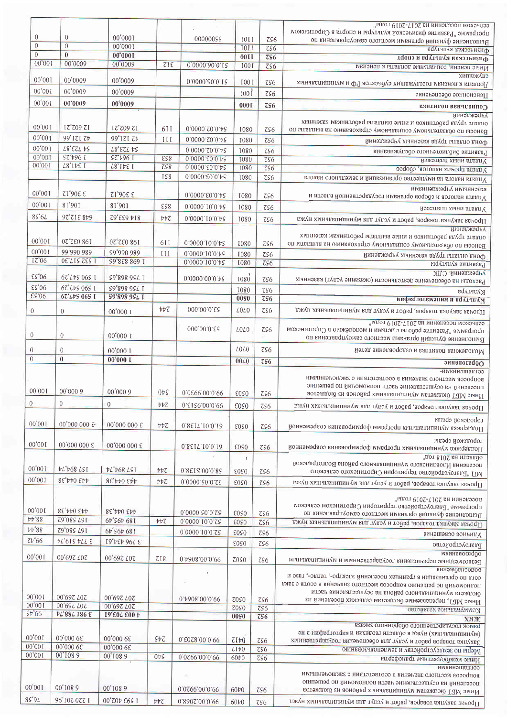| сельском поселении на 2017-2019 годы <sup>и</sup><br>программе "Развитие физической культуры и спорта в Сиротинском         |                                       |                                 |                |                                                                         |                                            |                                      |                              |
|-----------------------------------------------------------------------------------------------------------------------------|---------------------------------------|---------------------------------|----------------|-------------------------------------------------------------------------|--------------------------------------------|--------------------------------------|------------------------------|
| Выполнение функций органами местного самоуправления по                                                                      | ZS6                                   | IOII                            | 00000055       |                                                                         | 00'0001                                    | $\theta$                             | $\overline{0}$               |
| Физическая культура                                                                                                         | $\overline{c56}$                      | <b>I011</b>                     |                |                                                                         | 00'0001<br>00'0001                         | $\boldsymbol{0}$<br>$\boldsymbol{0}$ | $\theta$<br>$\mathbf{0}$     |
| Физическая культура и спорт                                                                                                 | $\overline{c}$ s6<br>$\overline{c56}$ | 00 <sub>II</sub><br><b>I001</b> | 0.0000.00.12   | ZIE                                                                     | 00'0009                                    | 00'0009                              | 00'001                       |
| Иные пенсии, социальные доплаты к пенсиям<br>служащих                                                                       |                                       |                                 |                |                                                                         |                                            |                                      |                              |
| Доплата к пенсиям госслужащих субъектов РФ и муниципальных                                                                  | ZS6                                   | I001                            | 0,0000.00.12   |                                                                         | 00'0009                                    | 00'0009                              | 00'001                       |
| Пенсионное обеспечение                                                                                                      | 7S6                                   | 100 <sup>1</sup>                |                |                                                                         | 00'0009                                    | 00'0009                              | 00'001                       |
| Социальная политика                                                                                                         | $\zeta$ s6                            | 0001                            |                |                                                                         | 00'0009                                    | 00'0009                              | 00'001                       |
| Минэтжэан                                                                                                                   |                                       |                                 |                |                                                                         |                                            |                                      |                              |
| оплате труда работников и иные выплаты работникам казенных<br>Взноси по обязательному социальному страхованию на выплаты по | $\zeta$                               | I080                            | 0,0000.50.0.4  | 6II                                                                     | IZ'709 71                                  | 12° 709 71                           | 00'001                       |
| Фонд оплаты труда казенных учреждений                                                                                       | $\overline{c}s6$                      | 1080                            | 0.0000.20.0.48 | III                                                                     | 99'171 Zt                                  | 99'171 Zb                            | 00'001                       |
| Развитие библиотечного обслуживания                                                                                         | $\zeta$                               | <b>I080</b>                     | 0.0000.20.0.48 |                                                                         | L8'EZL PS                                  | L8'EZL DS                            | 00'001                       |
| Уплата иных платежей                                                                                                        | $\overline{c56}$                      | 1080                            | 0.0000.80.0.48 | ES8                                                                     | SZ't96 I                                   | SZ't96 I                             | 00'001                       |
| Уплата прочих налогов, сборов                                                                                               | $\overline{c56}$                      | 1080                            | 0.0000.60.0.48 | ZS8                                                                     | $L8$ <sup>c</sup> $I$ $b$ <sup>c</sup> $I$ | <b>78,1481</b>                       | 00'00I                       |
| Уплата налога на имущество организаций и земельного налога                                                                  | 756                                   | 1080                            | 0.0000.00.0.42 | <b>IS8</b>                                                              |                                            |                                      |                              |
| казенными учреждениями<br>Уплата налогов и сборов органами государственной власти и                                         | $\zeta$                               | 1080                            | 0.0000.00.0.48 |                                                                         | 3306,12                                    | 3 306,12                             | $00^{\circ}001$              |
|                                                                                                                             | <b>ZS6</b>                            | 1080                            | 0.0000.10,0.48 | ESS                                                                     | 81'901                                     | 106,18                               | 00'001                       |
| Уплата иных платежей                                                                                                        |                                       |                                 | 0,0000.10.0.48 | $b\overline{b}$                                                         | 814 633,62                                 | 648 312,50                           | $85^{\circ}6L$               |
| Прочая закупка товаров, работ и услуг для муниципальных нужд<br><b>имногжэсний</b>                                          | ZS6                                   | I080                            |                |                                                                         |                                            |                                      |                              |
| оплате труда работников и иные выплаты работникам казенных                                                                  |                                       |                                 |                |                                                                         |                                            |                                      |                              |
| Взноси по обязательному социальному страхованию на выплаты по                                                               | ZS6                                   | I080                            | 0 0000 10 0 15 | 6I I                                                                    | 07'780 861                                 | 07,280 861                           | 00'001                       |
| Фонд оплаты труда казенных учреждений                                                                                       | $\zeta$                               | 1080                            | 0.0000.10.0 48 | III                                                                     | 99'990 989<br>99'828 869 1                 | 99'990 989<br><b>OE. TIE SEE I</b>   | 00'001<br>17'06              |
| Развитие культуры                                                                                                           | $\overline{c56}$                      | <b>I080</b>                     | 0,0000.10.0.48 |                                                                         |                                            |                                      |                              |
| УДО иннаджэару<br>Расходы на обеспечение деятельности (оказание услуг) казенных                                             | $\zeta$                               | 1080                            | 0.0000.00.0.48 |                                                                         | S9'898 9SL I                               | 67'L+5 065 I                         | $E S^6 06$                   |
| культура                                                                                                                    | ZS6                                   | 1080                            |                |                                                                         | S9°898 9SL I                               | 67°L+S 065 I                         | ES'06                        |
| вифвототвмэния и воутапуМ                                                                                                   | $\overline{z}$ s6                     | 0080                            |                |                                                                         | S9'898 9SL I                               | 67'L+S 06S T                         | $ES*06$                      |
| Црочая закупка товаров, работ и услуг для муниципальных нужд                                                                | ZS6                                   | L0L0                            | 000.00.0.62    | ÞΡZ                                                                     | 00'000 I                                   | $\theta$                             | $\theta$                     |
| сельском поселении на 2017-2019 годы <sup>и</sup>                                                                           |                                       |                                 |                |                                                                         |                                            |                                      |                              |
| программе "Развитие работы с детьми и молодёжью в Сиротинском<br>Выполнение функций органами местного самоуправления по     | 756                                   | <b>7070</b>                     | 000'00'0'£5    |                                                                         | 00'000 L                                   | $\theta$                             | $\theta$                     |
|                                                                                                                             |                                       |                                 |                |                                                                         |                                            |                                      |                              |
| Молодежная политика и оздоровление детей                                                                                    | ZS6                                   | <b><i>LOLO</i></b>              |                |                                                                         | 00'000 1<br>00'000 I                       | $\theta$<br>$\mathbf{0}$             | $\theta$<br>$\boldsymbol{0}$ |
| Образование                                                                                                                 | $\overline{c}s6$                      | 00L0                            |                |                                                                         |                                            |                                      |                              |
| -имкинэшвилоэ<br>вопросов местного значения в соответствии с заключенными                                                   |                                       |                                 |                |                                                                         |                                            |                                      |                              |
| поселении на осуществление части полномочии по решению                                                                      |                                       |                                 |                |                                                                         |                                            |                                      | 00'001                       |
| Иные МБТ бюджетам муниципальных районов из бюджетов                                                                         | 7S6                                   | <b>EOSO</b>                     | 0'0666'00'0'66 | $0\nu$                                                                  | 00'000 9                                   | 00'000 9                             |                              |
| Прочая закупка товаров, работ и услуг для муниципальных нужд                                                                | ZS6                                   | <b>EOSO</b>                     | 0'8156'00'0'66 | $b\overline{b}$                                                         | $\overline{0}$                             | $\,0\,$                              | $\boldsymbol{0}$             |
| гатадо и средни                                                                                                             |                                       |                                 |                |                                                                         |                                            |                                      | 00'001                       |
| Поддержка муниципальных программ формирования современной                                                                   | ZS6                                   | EOSO                            | 0,8517.10,0.13 | $\ensuremath{\mathit{t}}\ensuremath{\mathit{t}}\ensuremath{\mathit{c}}$ | 00'000 000 $\boldsymbol{\epsilon}$         | 00'000 000 €                         |                              |
| городской среды                                                                                                             |                                       |                                 |                |                                                                         | 00'000 000 $\xi$                           | 00'000 000 ε                         | 00'00I                       |
| Поддержка муниципальных програми формирования современной                                                                   | ZS6                                   | <b>EOSO</b>                     | 0,8517.10.0.13 |                                                                         |                                            |                                      |                              |
| пдот 8102 вн итэвлоо<br>поселения Иловлинского муниципального района Волгоградской                                          |                                       | $\mathbf{I}$                    |                |                                                                         |                                            |                                      |                              |
| МП "Благоустройство территории Сиротинского сельского                                                                       | ZS6                                   | <b>EOSO</b>                     | 0.8512.00.0.82 | $\nu\nu\zeta$                                                           | <b>PL'+68 LST</b>                          | <b>t</b> L't68 LSI                   | $00^{\circ}001$              |
| Црочая закупка товаров, paбот и услуг для муниципальных нужд                                                                | ZS6                                   | <b>£050</b>                     | 0.0000.00.28   | $b\overline{b}$                                                         | $8\xi$ + $70\xi$                           | $8E'$ rto $E$ rt                     | 00'001                       |
|                                                                                                                             |                                       |                                 |                |                                                                         |                                            |                                      |                              |
| поселении на 2017-2019 годы <sup>и</sup><br>программе "Благоустройство территории Сиротинском сельском                      |                                       |                                 |                |                                                                         |                                            |                                      |                              |
| Выполнение функций органами местного самоуправления по                                                                      | ZS6                                   | <b>EOSO</b>                     | 0.0000.20.0.22 |                                                                         | 8E,005p                                    | 443 044,38<br>167 580,62             | 00'00I<br><b>tt'88</b>       |
| Прочая закупка товаров, работ и услуг для муниципальных нужд                                                                | $\overline{c56}$                      | <b>EOSO</b>                     | 0.0000.10.0,55 | $b\overline{b}$                                                         | 6t'S6t 681                                 |                                      | <b>tt'88</b>                 |
| Уличное освещение                                                                                                           | ZS6                                   | <b>EOSO</b>                     | 0,0000,10.0.55 |                                                                         | 66'566 681                                 | 79°085 491                           | Zt66                         |
| Благоустройство                                                                                                             | ZS6                                   | EOSO                            |                |                                                                         | 3 79,6434,61                               | <b>PL'61S PLL E</b>                  |                              |
| мкинваосводо<br>резвозмезднею перечисления государственным и муниципальным                                                  | ZS6                                   | <b>ZOSO</b>                     | 0 7908 00 0 66 | 718                                                                     | 00'697 407                                 | 00'697 LOZ                           | 00'001                       |
| винэжовноодов                                                                                                               |                                       |                                 |                |                                                                         |                                            |                                      |                              |
| согл по организации в границах поселений электро-, тепло-, тазо и                                                           |                                       |                                 |                |                                                                         |                                            |                                      |                              |
| полномонии по решению вопросов меслного знанения в соотв с заки<br>бюджета муниципального района на осуществление части     |                                       |                                 |                |                                                                         |                                            |                                      |                              |
| Иные МБТ, передаваемые бюджетам сельских поселений из                                                                       | $\zeta$                               | 7050                            | 0,4908.00.0.09 |                                                                         | 00°697 LOZ                                 | 00'697 LOZ                           | 00,001                       |
| Коммунальное хозяйство                                                                                                      | $\overline{c56}$                      | 70S <sub>0</sub>                |                |                                                                         | 00'697 LOZ                                 | 00'697 L07                           | 00'001                       |
| <b>ХМЖ</b>                                                                                                                  | $z$ s6                                | 0090                            |                |                                                                         | <b>Ι9'ε0Δ ε00 ν</b>                        | <b>PL'88L I86 E</b>                  | \$t'66                       |
| рамок государственного оборонного заказа<br>(и) днигительных) намеде области геодезии и картографии в не                    |                                       |                                 |                |                                                                         |                                            |                                      |                              |
| Закупка товаров работ и услуг для обеспечения государственных                                                               | ZS6                                   | 7Ib0                            | 0.6028.00.0.09 | $S\nu Z$                                                                | 00'000 6ε                                  | 00'000 68                            | 00'001                       |
| Меры по землеустройству и землепользованию                                                                                  | $\overline{c}$ s6                     | 7Ib0                            |                |                                                                         | 00'000 68                                  | 00'000 6£                            | 00'001<br>00'001             |
| Иные межбюджетные трансферты                                                                                                | $\zeta$                               | 60 $\natural$ 0                 | 0'0766'00'0'66 | 0 <sub>5</sub>                                                          | 00'1089                                    | 00'1089                              |                              |
| соглашениями<br>вопросов местного значения в соответствии с заключенными                                                    |                                       |                                 |                |                                                                         |                                            |                                      |                              |
| поселении на осуществление части полномочий по решению                                                                      |                                       |                                 |                |                                                                         |                                            |                                      | 00'00I                       |
| Иные МБТ бюджетам муниципальных районов из бюджетов                                                                         | $\zeta$                               | 60t0                            | 0.0266.00.0.09 |                                                                         | 00'1089                                    | 00'1089                              |                              |
| Прочая закупка товаров, работ и услуг для муниципальных нужд                                                                | $\zeta$                               | $60\nu$                         | 0 8907 00 0 66 | $b\overline{b}$                                                         | 00'Z0+ E6S I                               | 96°107 077 1                         | $85^{\circ}9L$               |